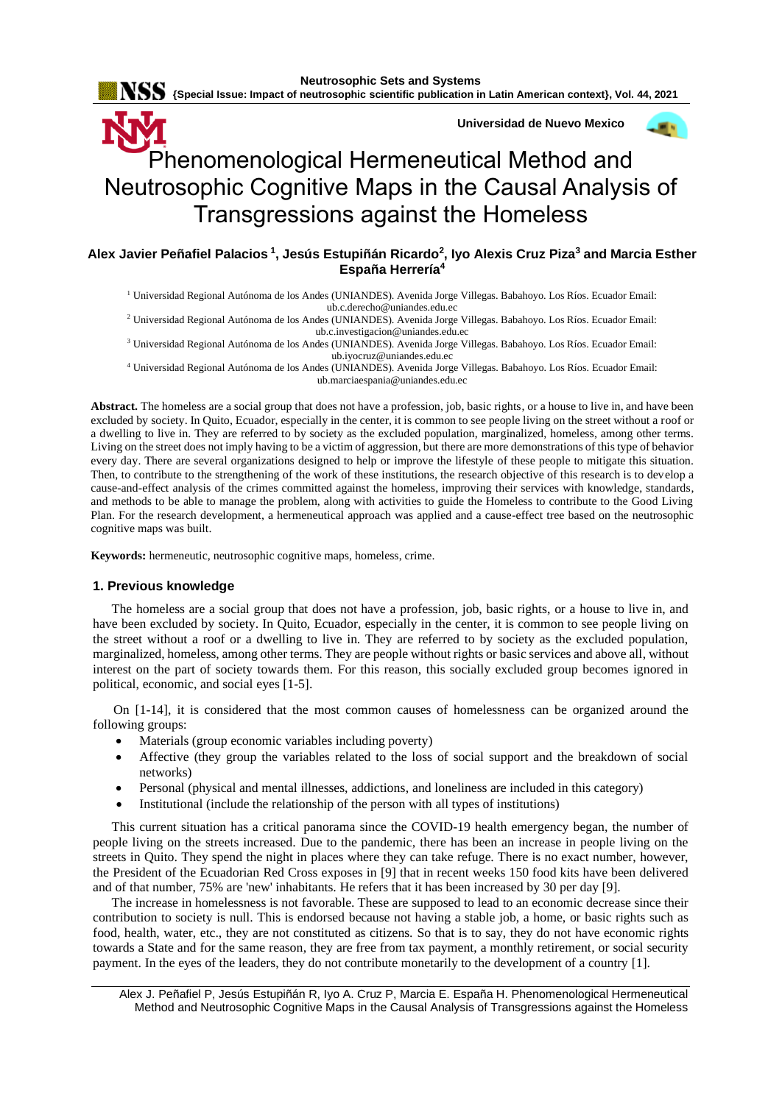

**Universidad de Nuevo Mexico**



# Phenomenological Hermeneutical Method and Neutrosophic Cognitive Maps in the Causal Analysis of Transgressions against the Homeless

**Alex Javier Peñafiel Palacios<sup>1</sup> , Jesús Estupiñán Ricardo 2 , Iyo Alexis Cruz Piza<sup>3</sup> and Marcia Esther España Herrería<sup>4</sup>**

<sup>1</sup> Universidad Regional Autónoma de los Andes (UNIANDES). Avenida Jorge Villegas. Babahoyo. Los Ríos. Ecuador Email: [ub.c.derecho@uniandes.edu.ec](mailto:ub.c.derecho@uniandes.edu.ec)

<sup>2</sup> Universidad Regional Autónoma de los Andes (UNIANDES). Avenida Jorge Villegas. Babahoyo. Los Ríos. Ecuador Email: [ub.c.investigacion@uniandes.edu.ec](mailto:ub.c.investigacion@uniandes.edu.ec)

<sup>3</sup> Universidad Regional Autónoma de los Andes (UNIANDES). Avenida Jorge Villegas. Babahoyo. Los Ríos. Ecuador Email: [ub.iyocruz@uniandes.edu.ec](mailto:ub.iyocruz@uniandes.edu.ec)

<sup>4</sup> Universidad Regional Autónoma de los Andes (UNIANDES). Avenida Jorge Villegas. Babahoyo. Los Ríos. Ecuador Email: [ub.marciaespania@uniandes.edu.ec](mailto:ub.marciaespania@uniandes.edu.ec)

**Abstract.** The homeless are a social group that does not have a profession, job, basic rights, or a house to live in, and have been excluded by society. In Quito, Ecuador, especially in the center, it is common to see people living on the street without a roof or a dwelling to live in. They are referred to by society as the excluded population, marginalized, homeless, among other terms. Living on the street does not imply having to be a victim of aggression, but there are more demonstrations of this type of behavior every day. There are several organizations designed to help or improve the lifestyle of these people to mitigate this situation. Then, to contribute to the strengthening of the work of these institutions, the research objective of this research is to develop a cause-and-effect analysis of the crimes committed against the homeless, improving their services with knowledge, standards, and methods to be able to manage the problem, along with activities to guide the Homeless to contribute to the Good Living Plan. For the research development, a hermeneutical approach was applied and a cause-effect tree based on the neutrosophic cognitive maps was built.

**Keywords:** hermeneutic, neutrosophic cognitive maps, homeless, crime.

## **1. Previous knowledge**

The homeless are a social group that does not have a profession, job, basic rights, or a house to live in, and have been excluded by society. In Quito, Ecuador, especially in the center, it is common to see people living on the street without a roof or a dwelling to live in. They are referred to by society as the excluded population, marginalized, homeless, among other terms. They are people without rights or basic services and above all, without interest on the part of society towards them. For this reason, this socially excluded group becomes ignored in political, economic, and social eyes [\[1-5\]](#page-7-0).

On [\[1-14\]](#page-7-0), it is considered that the most common causes of homelessness can be organized around the following groups:

- Materials (group economic variables including poverty)
- Affective (they group the variables related to the loss of social support and the breakdown of social networks)
- Personal (physical and mental illnesses, addictions, and loneliness are included in this category)
- Institutional (include the relationship of the person with all types of institutions)

This current situation has a critical panorama since the COVID-19 health emergency began, the number of people living on the streets increased. Due to the pandemic, there has been an increase in people living on the streets in Quito. They spend the night in places where they can take refuge. There is no exact number, however, the President of the Ecuadorian Red Cross exposes in [\[9\]](#page-8-0) that in recent weeks 150 food kits have been delivered and of that number, 75% are 'new' inhabitants. He refers that it has been increased by 30 per day [\[9\]](#page-8-0).

The increase in homelessness is not favorable. These are supposed to lead to an economic decrease since their contribution to society is null. This is endorsed because not having a stable job, a home, or basic rights such as food, health, water, etc., they are not constituted as citizens. So that is to say, they do not have economic rights towards a State and for the same reason, they are free from tax payment, a monthly retirement, or social security payment. In the eyes of the leaders, they do not contribute monetarily to the development of a country [\[1\]](#page-7-0).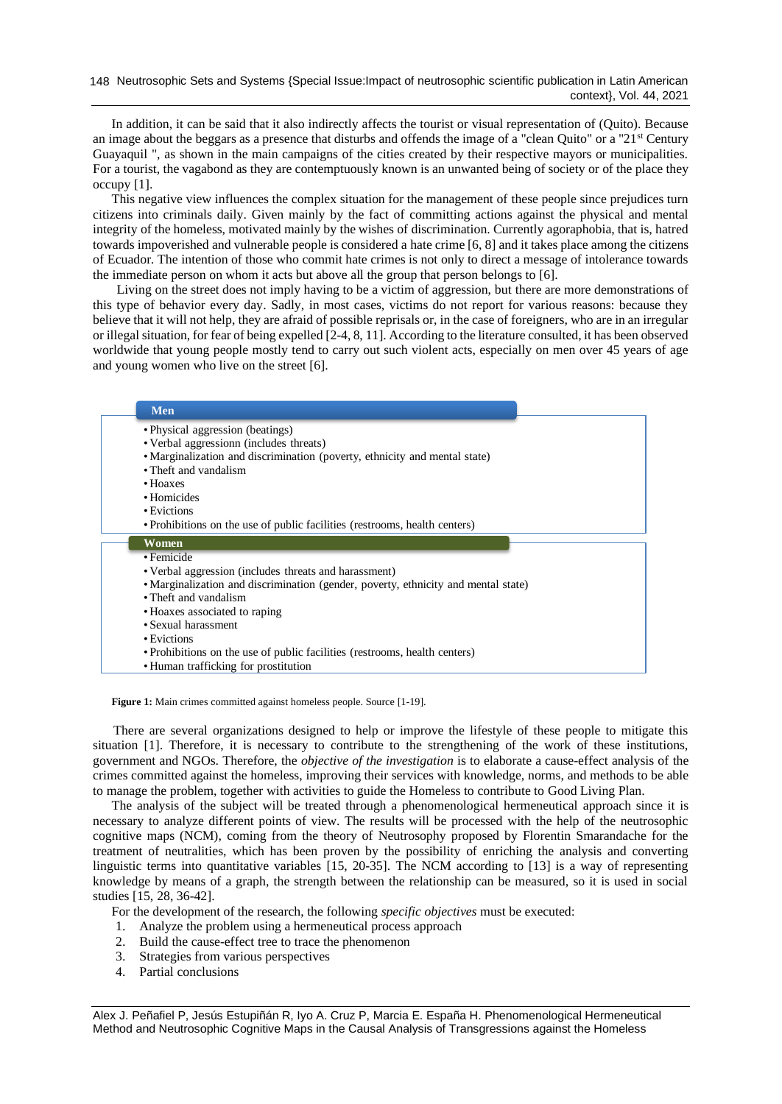In addition, it can be said that it also indirectly affects the tourist or visual representation of (Quito). Because an image about the beggars as a presence that disturbs and offends the image of a "clean Quito" or a "21<sup>st</sup> Century Guayaquil ", as shown in the main campaigns of the cities created by their respective mayors or municipalities. For a tourist, the vagabond as they are contemptuously known is an unwanted being of society or of the place they occupy [\[1\]](#page-7-0).

This negative view influences the complex situation for the management of these people since prejudices turn citizens into criminals daily. Given mainly by the fact of committing actions against the physical and mental integrity of the homeless, motivated mainly by the wishes of discrimination. Currently agoraphobia, that is, hatred towards impoverished and vulnerable people is considered a hate crime [\[6,](#page-7-1) [8\]](#page-7-2) and it takes place among the citizens of Ecuador. The intention of those who commit hate crimes is not only to direct a message of intolerance towards the immediate person on whom it acts but above all the group that person belongs to [\[6\]](#page-7-1).

Living on the street does not imply having to be a victim of aggression, but there are more demonstrations of this type of behavior every day. Sadly, in most cases, victims do not report for various reasons: because they believe that it will not help, they are afraid of possible reprisals or, in the case of foreigners, who are in an irregular or illegal situation, for fear of being expelled [\[2-4,](#page-7-3) [8,](#page-7-2) [11\]](#page-8-1). According to the literature consulted, it has been observed worldwide that young people mostly tend to carry out such violent acts, especially on men over 45 years of age and young women who live on the street [\[6\]](#page-7-1).

| <b>Men</b>                                                                         |
|------------------------------------------------------------------------------------|
| • Physical aggression (beatings)                                                   |
| • Verbal aggression (includes threats)                                             |
| • Marginalization and discrimination (poverty, ethnicity and mental state)         |
| • Theft and vandalism                                                              |
| $\bullet$ Hoaxes                                                                   |
| • Homicides                                                                        |
| • Evictions                                                                        |
| • Prohibitions on the use of public facilities (restrooms, health centers)         |
| Women                                                                              |
| • Femicide                                                                         |
| • Verbal aggression (includes threats and harassment)                              |
| • Marginalization and discrimination (gender, poverty, ethnicity and mental state) |
| • Theft and vandalism                                                              |
| • Hoaxes associated to raping                                                      |
| • Sexual harassment                                                                |
| • Evictions                                                                        |
| • Prohibitions on the use of public facilities (restrooms, health centers)         |
| • Human trafficking for prostitution                                               |

Figure 1: Main crimes committed against homeless people. Source [\[1-19\]](#page-7-0).

There are several organizations designed to help or improve the lifestyle of these people to mitigate this situation [\[1\]](#page-7-0). Therefore, it is necessary to contribute to the strengthening of the work of these institutions, government and NGOs. Therefore, the *objective of the investigation* is to elaborate a cause-effect analysis of the crimes committed against the homeless, improving their services with knowledge, norms, and methods to be able to manage the problem, together with activities to guide the Homeless to contribute to Good Living Plan.

The analysis of the subject will be treated through a phenomenological hermeneutical approach since it is necessary to analyze different points of view. The results will be processed with the help of the neutrosophic cognitive maps (NCM), coming from the theory of Neutrosophy proposed by Florentin Smarandache for the treatment of neutralities, which has been proven by the possibility of enriching the analysis and converting linguistic terms into quantitative variables [\[15,](#page-8-2) [20-35\]](#page-8-3). The NCM according to [13] is a way of representing knowledge by means of a graph, the strength between the relationship can be measured, so it is used in social studies [\[15,](#page-8-2) [28,](#page-8-4) [36-42\]](#page-9-0).

For the development of the research, the following *specific objectives* must be executed:

- 1. Analyze the problem using a hermeneutical process approach
- 2. Build the cause-effect tree to trace the phenomenon
- 3. Strategies from various perspectives
- 4. Partial conclusions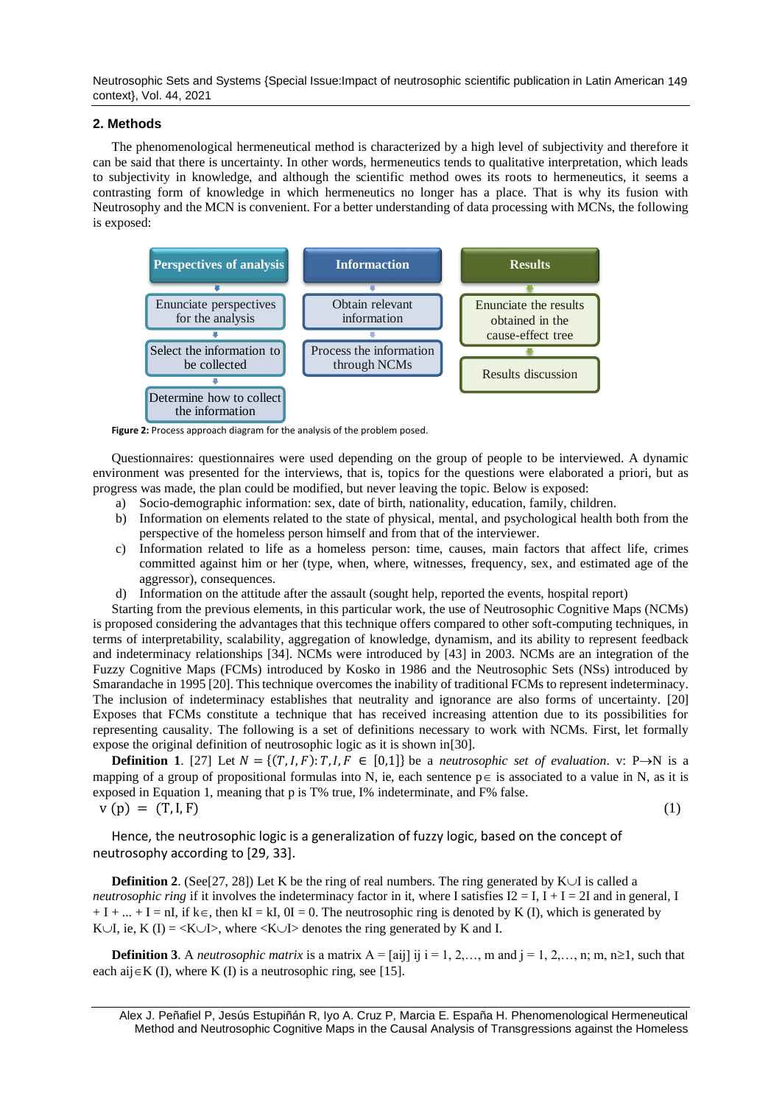Neutrosophic Sets and Systems {Special Issue:Impact of neutrosophic scientific publication in Latin American 149 context}, Vol. 44, 2021

#### **2. Methods**

The phenomenological hermeneutical method is characterized by a high level of subjectivity and therefore it can be said that there is uncertainty. In other words, hermeneutics tends to qualitative interpretation, which leads to subjectivity in knowledge, and although the scientific method owes its roots to hermeneutics, it seems a contrasting form of knowledge in which hermeneutics no longer has a place. That is why its fusion with Neutrosophy and the MCN is convenient. For a better understanding of data processing with MCNs, the following is exposed:



**Figure 2:** Process approach diagram for the analysis of the problem posed.

Questionnaires: questionnaires were used depending on the group of people to be interviewed. A dynamic environment was presented for the interviews, that is, topics for the questions were elaborated a priori, but as progress was made, the plan could be modified, but never leaving the topic. Below is exposed:

- a) Socio-demographic information: sex, date of birth, nationality, education, family, children.
- b) Information on elements related to the state of physical, mental, and psychological health both from the perspective of the homeless person himself and from that of the interviewer.
- c) Information related to life as a homeless person: time, causes, main factors that affect life, crimes committed against him or her (type, when, where, witnesses, frequency, sex, and estimated age of the aggressor), consequences.
- d) Information on the attitude after the assault (sought help, reported the events, hospital report)

Starting from the previous elements, in this particular work, the use of Neutrosophic Cognitive Maps (NCMs) is proposed considering the advantages that this technique offers compared to other soft-computing techniques, in terms of interpretability, scalability, aggregation of knowledge, dynamism, and its ability to represent feedback and indeterminacy relationships [\[34\]](#page-8-5). NCMs were introduced by [\[43\]](#page-9-1) in 2003. NCMs are an integration of the Fuzzy Cognitive Maps (FCMs) introduced by Kosko in 1986 and the Neutrosophic Sets (NSs) introduced by Smarandache in 1995 [\[20\]](#page-8-3). This technique overcomes the inability of traditional FCMs to represent indeterminacy. The inclusion of indeterminacy establishes that neutrality and ignorance are also forms of uncertainty. [\[20\]](#page-8-3) Exposes that FCMs constitute a technique that has received increasing attention due to its possibilities for representing causality. The following is a set of definitions necessary to work with NCMs. First, let formally expose the original definition of neutrosophic logic as it is shown in[\[30\]](#page-8-6).

**Definition 1**. [\[27\]](#page-8-7) Let  $N = \{(T, I, F): T, I, F \in [0,1]\}$  be a *neutrosophic set of evaluation*. v: P→N is a mapping of a group of propositional formulas into N, ie, each sentence  $p \in i$  associated to a value in N, as it is exposed in Equation 1, meaning that p is T% true, I% indeterminate, and F% false.  $v(p) = (T, I, F)$  (1)

Hence, the neutrosophic logic is a generalization of fuzzy logic, based on the concept of neutrosophy according to [\[29,](#page-8-8) [33\]](#page-8-9).

**Definition 2**. (See[\[27,](#page-8-7) [28\]](#page-8-4)) Let K be the ring of real numbers. The ring generated by  $K \cup I$  is called a *neutrosophic ring* if it involves the indeterminacy factor in it, where I satisfies  $I2 = I$ ,  $I + I = 2I$  and in general, I  $+ I + ... + I = nI$ , if  $k \in$ , then  $kI = kI$ ,  $0I = 0$ . The neutrosophic ring is denoted by K (I), which is generated by K $\cup$ I, ie, K (I) = <K $\cup$ I>, where <K $\cup$ I> denotes the ring generated by K and I.

**Definition 3**. A *neutrosophic matrix* is a matrix  $A = [\text{ai}] \text{ i } \text{ j } i = 1, 2, \ldots, \text{ m}$  and  $\text{ j } = 1, 2, \ldots, \text{ n}$ ; m,  $n \ge 1$ , such that each aij  $\in$ K (I), where K (I) is a neutrosophic ring, see [\[15\]](#page-8-2).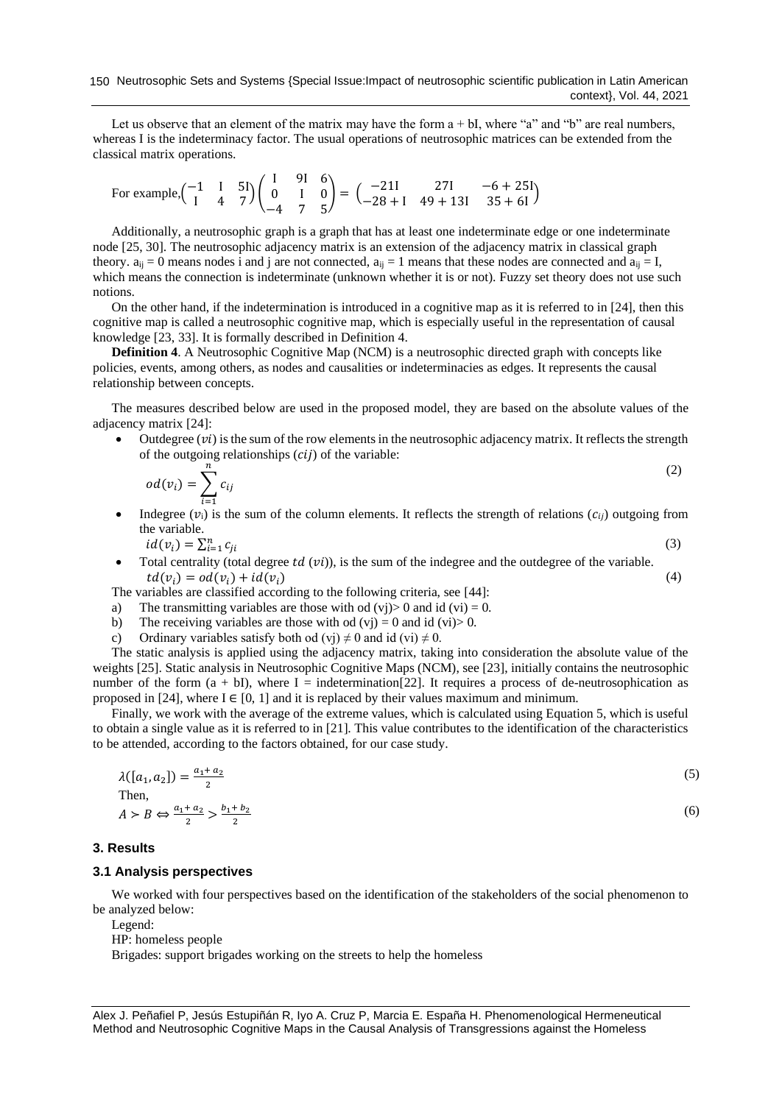Let us observe that an element of the matrix may have the form  $a + bI$ , where "a" and "b" are real numbers, whereas I is the indeterminacy factor. The usual operations of neutrosophic matrices can be extended from the classical matrix operations.

For example, 
$$
\begin{pmatrix} -1 & 1 & 5 \ 1 & 4 & 7 \end{pmatrix} \begin{pmatrix} 1 & 91 & 6 \ 0 & 1 & 0 \ -4 & 7 & 5 \end{pmatrix} = \begin{pmatrix} -211 & 271 & -6 + 251 \ -28 + 1 & 49 + 131 & 35 + 61 \end{pmatrix}
$$

Additionally, a neutrosophic graph is a graph that has at least one indeterminate edge or one indeterminate node [\[25,](#page-8-10) [30\]](#page-8-6). The neutrosophic adjacency matrix is an extension of the adjacency matrix in classical graph theory.  $a_{ij} = 0$  means nodes i and j are not connected,  $a_{ij} = 1$  means that these nodes are connected and  $a_{ij} = I$ , which means the connection is indeterminate (unknown whether it is or not). Fuzzy set theory does not use such notions.

On the other hand, if the indetermination is introduced in a cognitive map as it is referred to in [\[24\]](#page-8-11), then this cognitive map is called a neutrosophic cognitive map, which is especially useful in the representation of causal knowledge [\[23,](#page-8-12) [33\]](#page-8-9). It is formally described in Definition 4.

**Definition 4**. A Neutrosophic Cognitive Map (NCM) is a neutrosophic directed graph with concepts like policies, events, among others, as nodes and causalities or indeterminacies as edges. It represents the causal relationship between concepts.

The measures described below are used in the proposed model, they are based on the absolute values of the adjacency matrix [\[24\]](#page-8-11):

Outdegree  $(v_i)$  is the sum of the row elements in the neutrosophic adjacency matrix. It reflects the strength of the outgoing relationships  $(cii)$  of the variable:

(2)

(3)

$$
od(v_i) = \sum_{i=1}^{n} c_{ij}
$$

Indegree  $(v_i)$  is the sum of the column elements. It reflects the strength of relations  $(c_{ii})$  outgoing from the variable.

 $id(v_i) = \sum_{i=1}^n c_{ji}$ 

Total centrality (total degree  $td(vi)$ ), is the sum of the indegree and the outdegree of the variable.  $td(v_i) = od(v_i) + id(v_i)$  (4)

The variables are classified according to the following criteria, see [\[44\]](#page-9-2):

- a) The transmitting variables are those with od  $(vj) > 0$  and id  $(vi) = 0$ .
- b) The receiving variables are those with od  $(vj) = 0$  and id  $(vi) > 0$ .
- c) Ordinary variables satisfy both od (vj)  $\neq$  0 and id (vi)  $\neq$  0.

The static analysis is applied using the adjacency matrix, taking into consideration the absolute value of the weights [\[25\]](#page-8-10). Static analysis in Neutrosophic Cognitive Maps (NCM), see [\[23\]](#page-8-12), initially contains the neutrosophic number of the form  $(a + bI)$ , where I = indetermination[\[22\]](#page-8-13). It requires a process of de-neutrosophication as proposed in [\[24\]](#page-8-11), where  $I \in [0, 1]$  and it is replaced by their values maximum and minimum.

Finally, we work with the average of the extreme values, which is calculated using Equation 5, which is useful to obtain a single value as it is referred to in [\[21\]](#page-8-14). This value contributes to the identification of the characteristics to be attended, according to the factors obtained, for our case study.

| $\lambda([a_1, a_2]) = \frac{a_1 + a_2}{2}$                       | (5) |
|-------------------------------------------------------------------|-----|
| Then,                                                             |     |
| $A > B \Leftrightarrow \frac{a_1 + a_2}{2} > \frac{b_1 + b_2}{2}$ | (6) |

#### **3. Results**

#### **3.1 Analysis perspectives**

We worked with four perspectives based on the identification of the stakeholders of the social phenomenon to be analyzed below:

Legend:

HP: homeless people

Brigades: support brigades working on the streets to help the homeless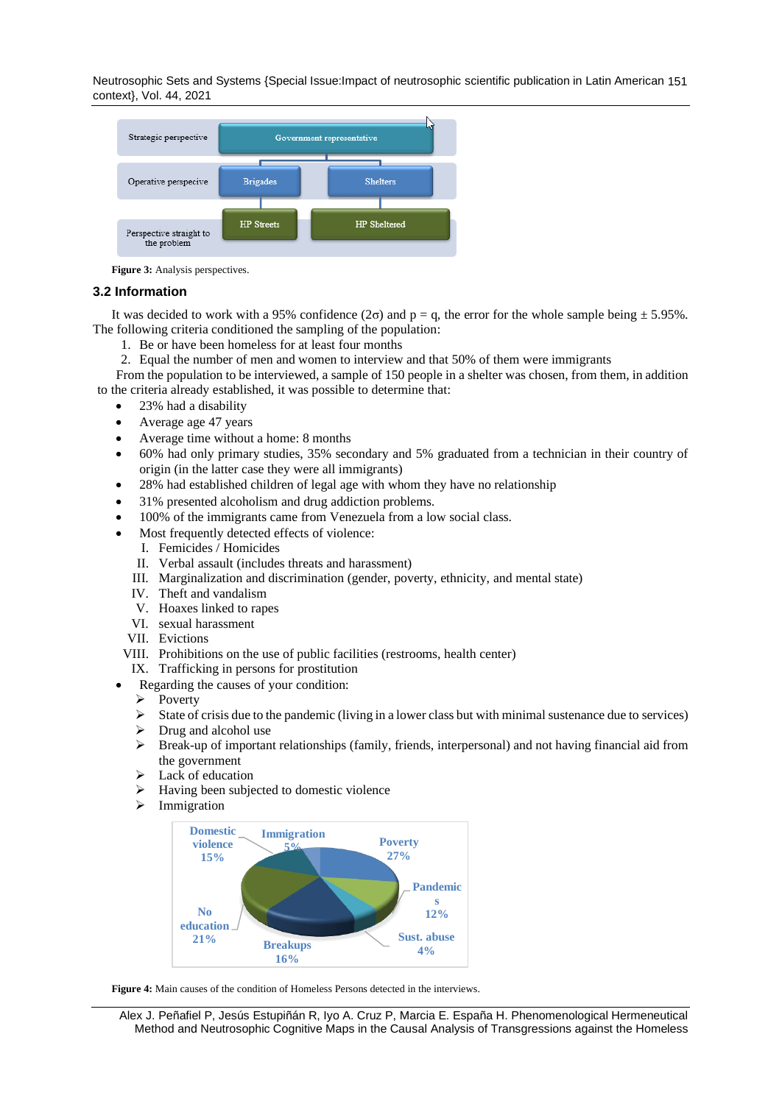Neutrosophic Sets and Systems {Special Issue:Impact of neutrosophic scientific publication in Latin American 151 context}, Vol. 44, 2021



**Figure 3:** Analysis perspectives.

#### **3.2 Information**

It was decided to work with a 95% confidence ( $2\sigma$ ) and  $p = q$ , the error for the whole sample being  $\pm$  5.95%. The following criteria conditioned the sampling of the population:

- 1. Be or have been homeless for at least four months
- 2. Equal the number of men and women to interview and that 50% of them were immigrants

From the population to be interviewed, a sample of 150 people in a shelter was chosen, from them, in addition to the criteria already established, it was possible to determine that:

- 23% had a disability
- Average age 47 years
- Average time without a home: 8 months
- 60% had only primary studies, 35% secondary and 5% graduated from a technician in their country of origin (in the latter case they were all immigrants)
- 28% had established children of legal age with whom they have no relationship
- 31% presented alcoholism and drug addiction problems.
- 100% of the immigrants came from Venezuela from a low social class.
- Most frequently detected effects of violence:
	- I. Femicides / Homicides
	- II. Verbal assault (includes threats and harassment)
	- III. Marginalization and discrimination (gender, poverty, ethnicity, and mental state)
	- IV. Theft and vandalism
	- V. Hoaxes linked to rapes
	- VI. sexual harassment
	- VII. Evictions
- VIII. Prohibitions on the use of public facilities (restrooms, health center)
- IX. Trafficking in persons for prostitution
- Regarding the causes of your condition:
- ➢ Poverty
- ➢ State of crisis due to the pandemic (living in a lower class but with minimal sustenance due to services)
- $\triangleright$  Drug and alcohol use
- ➢ Break-up of important relationships (family, friends, interpersonal) and not having financial aid from the government
- ➢ Lack of education
- ➢ Having been subjected to domestic violence
- ➢ Immigration



Figure 4: Main causes of the condition of Homeless Persons detected in the interviews.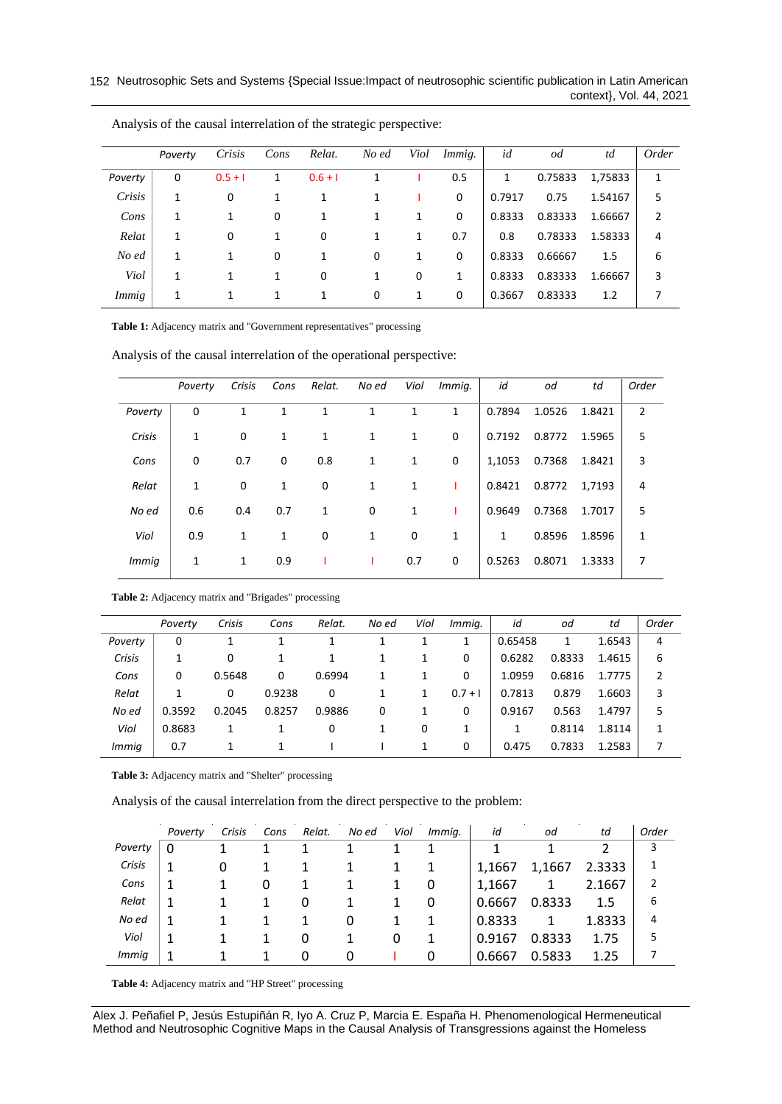|         | Poverty | Crisis    | Cons | Relat.    | No ed | Viol | Immig. | id     | od      | td      | Order          |
|---------|---------|-----------|------|-----------|-------|------|--------|--------|---------|---------|----------------|
| Poverty | 0       | $0.5 + 1$ | 1    | $0.6 + 1$ | 1     |      | 0.5    | 1      | 0.75833 | 1,75833 | 1              |
| Crisis  | 1       | 0         | 1    | 1         | 1     |      | 0      | 0.7917 | 0.75    | 1.54167 | 5              |
| Cons    | 1       | 1         | 0    | 1         | 1     | 1    | 0      | 0.8333 | 0.83333 | 1.66667 | $\overline{2}$ |
| Relat   | 1       | 0         | 1    | 0         | 1     | 1    | 0.7    | 0.8    | 0.78333 | 1.58333 | 4              |
| No ed   | 1       | 1         | 0    | 1         | 0     | 1    | 0      | 0.8333 | 0.66667 | 1.5     | 6              |
| Viol    | 1       | 1         | 1    | 0         | 1     | 0    | 1      | 0.8333 | 0.83333 | 1.66667 | 3              |
| Immig   | 1       | 1         |      | 1         | 0     | 1    | 0      | 0.3667 | 0.83333 | 1.2     | 7              |

Analysis of the causal interrelation of the strategic perspective:

**Table 1:** Adjacency matrix and "Government representatives" processing

Analysis of the causal interrelation of the operational perspective:

|         | Poverty | Crisis | Cons | Relat.       | No ed | Viol | Immig. | id     | od     | td     | Order          |
|---------|---------|--------|------|--------------|-------|------|--------|--------|--------|--------|----------------|
| Poverty | 0       | 1      | 1    | $\mathbf{1}$ | 1     | 1    | 1      | 0.7894 | 1.0526 | 1.8421 | $\overline{2}$ |
| Crisis  | 1       | 0      | 1    | 1            | 1     | 1    | 0      | 0.7192 | 0.8772 | 1.5965 | 5              |
| Cons    | 0       | 0.7    | 0    | 0.8          | 1     | 1    | 0      | 1,1053 | 0.7368 | 1.8421 | 3              |
| Relat   | 1       | 0      | 1    | 0            | 1     | 1    |        | 0.8421 | 0.8772 | 1,7193 | 4              |
| No ed   | 0.6     | 0.4    | 0.7  | 1            | 0     | 1    |        | 0.9649 | 0.7368 | 1.7017 | 5              |
| Viol    | 0.9     | 1      | 1    | 0            | 1     | 0    | 1      | 1      | 0.8596 | 1.8596 | 1              |
| Immig   | 1       | 1      | 0.9  |              |       | 0.7  | 0      | 0.5263 | 0.8071 | 1.3333 | 7              |

#### **Table 2:** Adjacency matrix and "Brigades" processing

|              | Poverty | Crisis | Cons   | Relat. | No ed | Viol | Immig.    | id      | od     | td     | Order |
|--------------|---------|--------|--------|--------|-------|------|-----------|---------|--------|--------|-------|
| Poverty      | 0       | 1      |        |        |       |      | 1         | 0.65458 | 1      | 1.6543 | 4     |
| Crisis       | 1       | 0      |        |        |       |      | 0         | 0.6282  | 0.8333 | 1.4615 | 6     |
| Cons         | 0       | 0.5648 | 0      | 0.6994 |       |      | 0         | 1.0959  | 0.6816 | 1.7775 | 2     |
| Relat        | 1       | 0      | 0.9238 | 0      |       |      | $0.7 + 1$ | 0.7813  | 0.879  | 1.6603 | 3     |
| No ed        | 0.3592  | 0.2045 | 0.8257 | 0.9886 | 0     |      | 0         | 0.9167  | 0.563  | 1.4797 | 5     |
| Viol         | 0.8683  | 1      |        | 0      |       | 0    |           | 1       | 0.8114 | 1.8114 | 1     |
| <i>Immig</i> | 0.7     |        |        |        |       |      | 0         | 0.475   | 0.7833 | 1.2583 |       |
|              |         |        |        |        |       |      |           |         |        |        |       |

**Table 3:** Adjacency matrix and "Shelter" processing

Analysis of the causal interrelation from the direct perspective to the problem:

|         | Poverty | Crisis | Cons | Relat. | No ed | Viol | Immig. | id     | od     | td     | Order |
|---------|---------|--------|------|--------|-------|------|--------|--------|--------|--------|-------|
| Poverty | 0       |        |      |        |       |      |        |        |        |        | 3     |
| Crisis  | 1       | 0      |      |        |       |      | 1      | 1.1667 | 1,1667 | 2.3333 | 1     |
| Cons    | 1       |        | 0    |        |       |      | 0      | 1.1667 | 1      | 2.1667 | 2     |
| Relat   | 1       |        |      | 0      |       |      | 0      | 0.6667 | 0.8333 | 1.5    | 6     |
| No ed   | 1       |        |      |        | 0     |      | 1      | 0.8333 | 1      | 1.8333 | 4     |
| Viol    | 1       |        |      | 0      |       | 0    | 1      | 0.9167 | 0.8333 | 1.75   | 5     |
| Immig   | 1       |        |      | 0      |       |      | 0      | 0.6667 | 0.5833 | 1.25   |       |

**Table 4:** Adjacency matrix and "HP Street" processing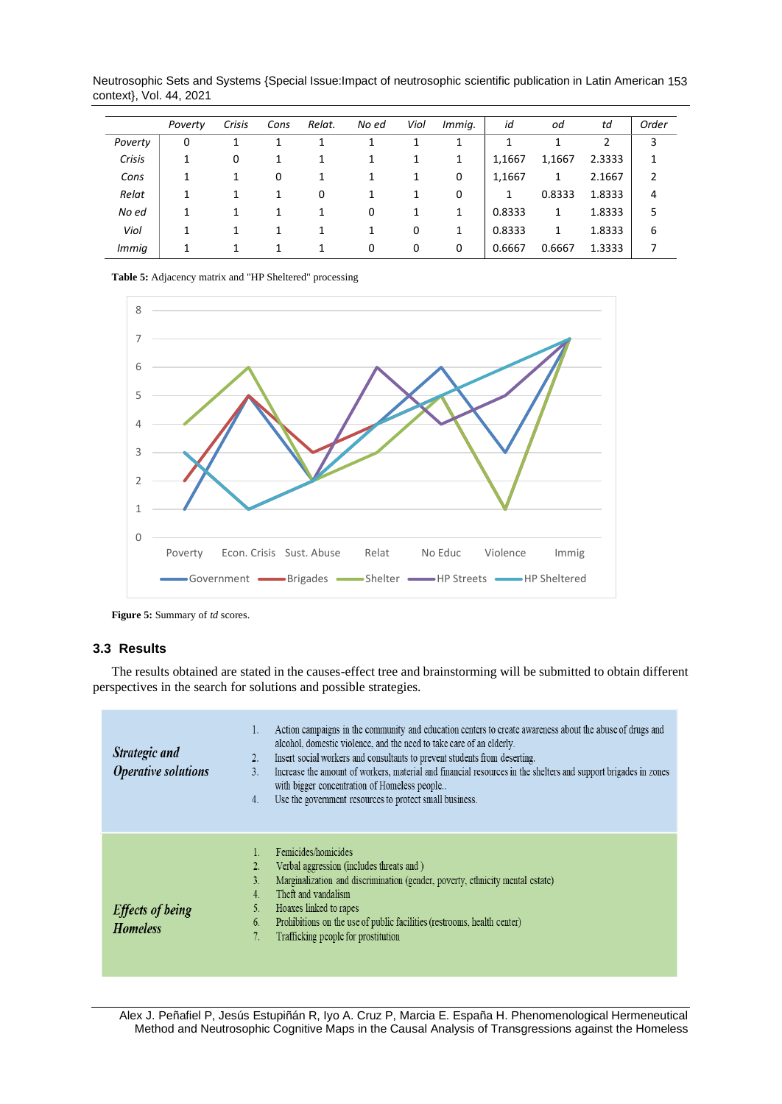Neutrosophic Sets and Systems {Special Issue:Impact of neutrosophic scientific publication in Latin American 153 context}, Vol. 44, 2021

|         | Poverty | Crisis | Cons | Relat. | No ed | Viol | Immig. | id     | od     | td     | Order          |
|---------|---------|--------|------|--------|-------|------|--------|--------|--------|--------|----------------|
| Poverty | 0       |        |      |        |       |      |        |        |        | າ      | 3              |
| Crisis  | и<br>Ŧ  | 0      | 1    |        | 1     | 1    | 1      | 1,1667 | 1,1667 | 2.3333 | 1              |
| Cons    |         |        | 0    |        | 1     | 1    | 0      | 1,1667 | 1      | 2.1667 | $\overline{2}$ |
| Relat   | 1       |        | 1    | 0      | 1     | 1    | 0      | 1      | 0.8333 | 1.8333 | 4              |
| No ed   | 1       |        | 1    | 1      | 0     | 1    | 1      | 0.8333 | 1      | 1.8333 | 5              |
| Viol    | 1       |        | 1    |        | 1     | 0    | 1      | 0.8333 | 1      | 1.8333 | 6              |
| Immig   |         |        |      |        | 0     | 0    | 0      | 0.6667 | 0.6667 | 1.3333 |                |

**Table 5:** Adjacency matrix and "HP Sheltered" processing



**Figure 5:** Summary of *td* scores.

## **3.3 Results**

٠

The results obtained are stated in the causes-effect tree and brainstorming will be submitted to obtain different perspectives in the search for solutions and possible strategies.

| Strategic and<br><b>Operative solutions</b> | Action campaigns in the community and education centers to create awareness about the abuse of drugs and<br>alcohol, domestic violence, and the need to take care of an elderly.<br>Insert social workers and consultants to prevent students from deserting.<br>2.<br>Increase the amount of workers, material and financial resources in the shelters and support brigades in zones<br>$\overline{3}$ .<br>with bigger concentration of Homeless people<br>Use the government resources to protect small business.<br>4. |
|---------------------------------------------|----------------------------------------------------------------------------------------------------------------------------------------------------------------------------------------------------------------------------------------------------------------------------------------------------------------------------------------------------------------------------------------------------------------------------------------------------------------------------------------------------------------------------|
| <b>Effects of being</b><br><b>Homeless</b>  | Femicides/homicides<br>Verbal aggression (includes threats and)<br>Marginalization and discrimination (gender, poverty, ethnicity mental estate)<br>3.<br>Theft and vandalism<br>$\overline{4}$ .<br>5.<br>Hoaxes linked to rapes<br>Prohibitions on the use of public facilities (restrooms, health center)<br>6.<br>Trafficking people for prostitution                                                                                                                                                                  |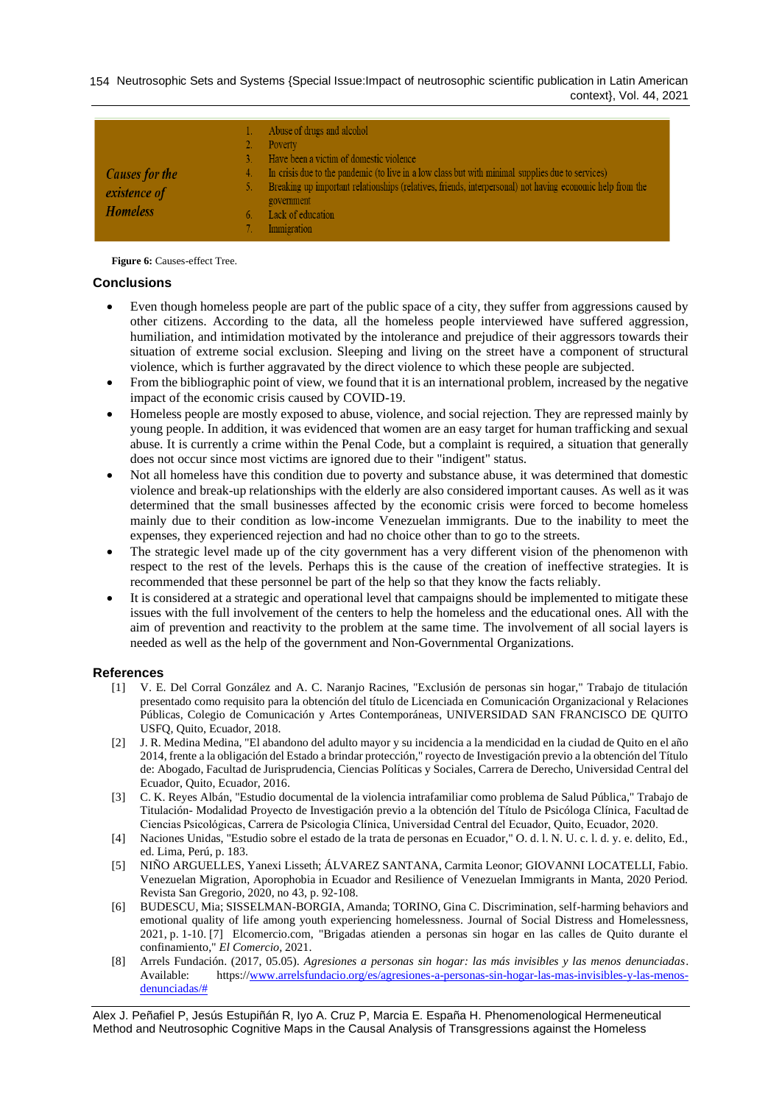154 Neutrosophic Sets and Systems {Special Issue: Impact of neutrosophic scientific publication in Latin American context}, Vol. 44, 2021

| <b>Causes for the</b><br>4.<br>existence of<br><b>Homeless</b> | 1. Abuse of drugs and alcohol<br>Poverty<br>Have been a victim of domestic violence<br>In crisis due to the pandemic (to live in a low class but with minimal supplies due to services)<br>Breaking up important relationships (relatives, friends, interpersonal) not having economic help from the<br>government<br>Lack of education<br>Immigration |
|----------------------------------------------------------------|--------------------------------------------------------------------------------------------------------------------------------------------------------------------------------------------------------------------------------------------------------------------------------------------------------------------------------------------------------|
|----------------------------------------------------------------|--------------------------------------------------------------------------------------------------------------------------------------------------------------------------------------------------------------------------------------------------------------------------------------------------------------------------------------------------------|

**Figure 6:** Causes-effect Tree.

## **Conclusions**

- Even though homeless people are part of the public space of a city, they suffer from aggressions caused by other citizens. According to the data, all the homeless people interviewed have suffered aggression, humiliation, and intimidation motivated by the intolerance and prejudice of their aggressors towards their situation of extreme social exclusion. Sleeping and living on the street have a component of structural violence, which is further aggravated by the direct violence to which these people are subjected.
- From the bibliographic point of view, we found that it is an international problem, increased by the negative impact of the economic crisis caused by COVID-19.
- Homeless people are mostly exposed to abuse, violence, and social rejection. They are repressed mainly by young people. In addition, it was evidenced that women are an easy target for human trafficking and sexual abuse. It is currently a crime within the Penal Code, but a complaint is required, a situation that generally does not occur since most victims are ignored due to their "indigent" status.
- Not all homeless have this condition due to poverty and substance abuse, it was determined that domestic violence and break-up relationships with the elderly are also considered important causes. As well as it was determined that the small businesses affected by the economic crisis were forced to become homeless mainly due to their condition as low-income Venezuelan immigrants. Due to the inability to meet the expenses, they experienced rejection and had no choice other than to go to the streets.
- The strategic level made up of the city government has a very different vision of the phenomenon with respect to the rest of the levels. Perhaps this is the cause of the creation of ineffective strategies. It is recommended that these personnel be part of the help so that they know the facts reliably.
- It is considered at a strategic and operational level that campaigns should be implemented to mitigate these issues with the full involvement of the centers to help the homeless and the educational ones. All with the aim of prevention and reactivity to the problem at the same time. The involvement of all social layers is needed as well as the help of the government and Non-Governmental Organizations.

### **References**

- <span id="page-7-0"></span>[1] V. E. Del Corral González and A. C. Naranjo Racines, "Exclusión de personas sin hogar," Trabajo de titulación presentado como requisito para la obtención del título de Licenciada en Comunicación Organizacional y Relaciones Públicas, Colegio de Comunicación y Artes Contemporáneas, UNIVERSIDAD SAN FRANCISCO DE QUITO USFQ, Quito, Ecuador, 2018.
- <span id="page-7-3"></span>[2] J. R. Medina Medina, "El abandono del adulto mayor y su incidencia a la mendicidad en la ciudad de Quito en el año 2014, frente a la obligación del Estado a brindar protección," royecto de Investigación previo a la obtención del Título de: Abogado, Facultad de Jurisprudencia, Ciencias Políticas y Sociales, Carrera de Derecho, Universidad Central del Ecuador, Quito, Ecuador, 2016.
- [3] C. K. Reyes Albán, "Estudio documental de la violencia intrafamiliar como problema de Salud Pública," Trabajo de Titulación- Modalidad Proyecto de Investigación previo a la obtención del Título de Psicóloga Clínica, Facultad de Ciencias Psicológicas, Carrera de Psicologia Clínica, Universidad Central del Ecuador, Quito, Ecuador, 2020.
- [4] Naciones Unidas, "Estudio sobre el estado de la trata de personas en Ecuador," O. d. l. N. U. c. l. d. y. e. delito, Ed., ed. Lima, Perú, p. 183.
- [5] NIÑO ARGUELLES, Yanexi Lisseth; ÁLVAREZ SANTANA, Carmita Leonor; GIOVANNI LOCATELLI, Fabio. Venezuelan Migration, Aporophobia in Ecuador and Resilience of Venezuelan Immigrants in Manta, 2020 Period. Revista San Gregorio, 2020, no 43, p. 92-108.
- <span id="page-7-1"></span>[6] BUDESCU, Mia; SISSELMAN-BORGIA, Amanda; TORINO, Gina C. Discrimination, self-harming behaviors and emotional quality of life among youth experiencing homelessness. Journal of Social Distress and Homelessness, 2021, p. 1-10. [7] Elcomercio.com, "Brigadas atienden a personas sin hogar en las calles de Quito durante el confinamiento," *El Comercio,* 2021.
- <span id="page-7-2"></span>[8] Arrels Fundación. (2017, 05.05). *Agresiones a personas sin hogar: las más invisibles y las menos denunciadas*. Available: https:/[/www.arrelsfundacio.org/es/agresiones-a-personas-sin-hogar-las-mas-invisibles-y-las-menos](http://www.arrelsfundacio.org/es/agresiones-a-personas-sin-hogar-las-mas-invisibles-y-las-menos-denunciadas/)[denunciadas/#](http://www.arrelsfundacio.org/es/agresiones-a-personas-sin-hogar-las-mas-invisibles-y-las-menos-denunciadas/)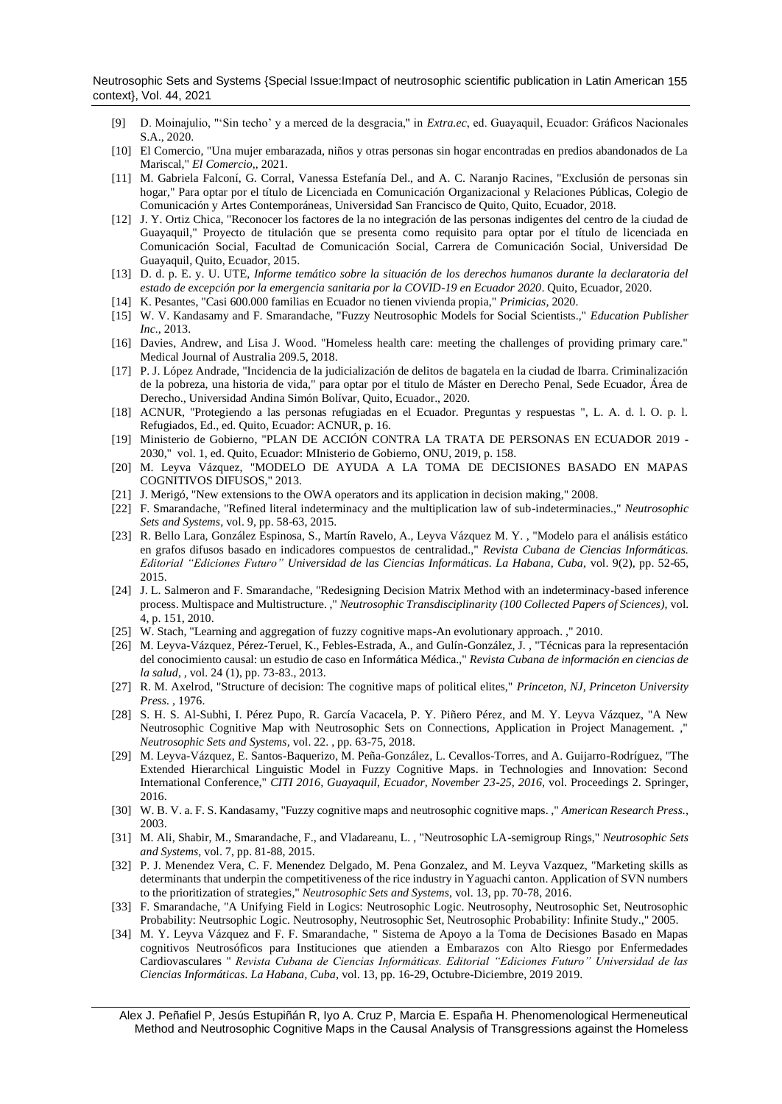Neutrosophic Sets and Systems {Special Issue:Impact of neutrosophic scientific publication in Latin American 155 context}, Vol. 44, 2021

- <span id="page-8-0"></span>[9] D. Moinajulio, "'Sin techo' y a merced de la desgracia," in *Extra.ec*, ed. Guayaquil, Ecuador: Gráficos Nacionales S.A., 2020.
- [10] El Comercio, "Una mujer embarazada, niños y otras personas sin hogar encontradas en predios abandonados de La Mariscal," *El Comercio,,* 2021.
- <span id="page-8-1"></span>[11] M. Gabriela Falconí, G. Corral, Vanessa Estefanía Del., and A. C. Naranjo Racines, "Exclusión de personas sin hogar," Para optar por el título de Licenciada en Comunicación Organizacional y Relaciones Públicas, Colegio de Comunicación y Artes Contemporáneas, Universidad San Francisco de Quito, Quito, Ecuador, 2018.
- [12] J. Y. Ortiz Chica, "Reconocer los factores de la no integración de las personas indigentes del centro de la ciudad de Guayaquil," Proyecto de titulación que se presenta como requisito para optar por el título de licenciada en Comunicación Social, Facultad de Comunicación Social, Carrera de Comunicación Social, Universidad De Guayaquil, Quito, Ecuador, 2015.
- [13] D. d. p. E. y. U. UTE, *Informe temático sobre la situación de los derechos humanos durante la declaratoria del estado de excepción por la emergencia sanitaria por la COVID-19 en Ecuador 2020*. Quito, Ecuador, 2020.
- [14] K. Pesantes, "Casi 600.000 familias en Ecuador no tienen vivienda propia," *Primicias,* 2020.
- <span id="page-8-2"></span>[15] W. V. Kandasamy and F. Smarandache, "Fuzzy Neutrosophic Models for Social Scientists.," *Education Publisher Inc.,* 2013.
- [16] Davies, Andrew, and Lisa J. Wood. "Homeless health care: meeting the challenges of providing primary care." Medical Journal of Australia 209.5, 2018.
- [17] P. J. López Andrade, "Incidencia de la judicialización de delitos de bagatela en la ciudad de Ibarra. Criminalización de la pobreza, una historia de vida," para optar por el titulo de Máster en Derecho Penal, Sede Ecuador, Área de Derecho., Universidad Andina Simón Bolívar, Quito, Ecuador., 2020.
- [18] ACNUR, "Protegiendo a las personas refugiadas en el Ecuador. Preguntas y respuestas ", L. A. d. l. O. p. l. Refugiados, Ed., ed. Quito, Ecuador: ACNUR, p. 16.
- [19] Ministerio de Gobierno, "PLAN DE ACCIÓN CONTRA LA TRATA DE PERSONAS EN ECUADOR 2019 2030," vol. 1, ed. Quito, Ecuador: MInisterio de Gobierno, ONU, 2019, p. 158.
- <span id="page-8-3"></span>[20] M. Leyva Vázquez, "MODELO DE AYUDA A LA TOMA DE DECISIONES BASADO EN MAPAS COGNITIVOS DIFUSOS," 2013.
- <span id="page-8-14"></span>[21] J. Merigó, "New extensions to the OWA operators and its application in decision making," 2008.
- <span id="page-8-13"></span>[22] F. Smarandache, "Refined literal indeterminacy and the multiplication law of sub-indeterminacies.," *Neutrosophic Sets and Systems,* vol. 9, pp. 58-63, 2015.
- <span id="page-8-12"></span>[23] R. Bello Lara, González Espinosa, S., Martín Ravelo, A., Leyva Vázquez M. Y. , "Modelo para el análisis estático en grafos difusos basado en indicadores compuestos de centralidad.," *Revista Cubana de Ciencias Informáticas. Editorial "Ediciones Futuro" Universidad de las Ciencias Informáticas. La Habana, Cuba,* vol. 9(2), pp. 52-65, 2015.
- <span id="page-8-11"></span>[24] J. L. Salmeron and F. Smarandache, "Redesigning Decision Matrix Method with an indeterminacy-based inference process. Multispace and Multistructure. ," *Neutrosophic Transdisciplinarity (100 Collected Papers of Sciences),* vol. 4, p. 151, 2010.
- <span id="page-8-10"></span>[25] W. Stach, "Learning and aggregation of fuzzy cognitive maps-An evolutionary approach. ," 2010.
- [26] M. Leyva-Vázquez, Pérez-Teruel, K., Febles-Estrada, A., and Gulín-González, J. , "Técnicas para la representación del conocimiento causal: un estudio de caso en Informática Médica.," *Revista Cubana de información en ciencias de la salud, ,* vol. 24 (1), pp. 73-83., 2013.
- <span id="page-8-7"></span>[27] R. M. Axelrod, "Structure of decision: The cognitive maps of political elites," *Princeton, NJ, Princeton University Press. ,* 1976.
- <span id="page-8-4"></span>[28] S. H. S. Al-Subhi, I. Pérez Pupo, R. García Vacacela, P. Y. Piñero Pérez, and M. Y. Leyva Vázquez, "A New Neutrosophic Cognitive Map with Neutrosophic Sets on Connections, Application in Project Management. ," *Neutrosophic Sets and Systems,* vol. 22. , pp. 63-75, 2018.
- <span id="page-8-8"></span>[29] M. Leyva-Vázquez, E. Santos-Baquerizo, M. Peña-González, L. Cevallos-Torres, and A. Guijarro-Rodríguez, "The Extended Hierarchical Linguistic Model in Fuzzy Cognitive Maps. in Technologies and Innovation: Second International Conference," *CITI 2016, Guayaquil, Ecuador, November 23-25, 2016,* vol. Proceedings 2. Springer, 2016.
- <span id="page-8-6"></span>[30] W. B. V. a. F. S. Kandasamy, "Fuzzy cognitive maps and neutrosophic cognitive maps. ," *American Research Press.,*  2003.
- [31] M. Ali, Shabir, M., Smarandache, F., and Vladareanu, L. , "Neutrosophic LA-semigroup Rings," *Neutrosophic Sets and Systems,* vol. 7, pp. 81-88, 2015.
- [32] P. J. Menendez Vera, C. F. Menendez Delgado, M. Pena Gonzalez, and M. Leyva Vazquez, "Marketing skills as determinants that underpin the competitiveness of the rice industry in Yaguachi canton. Application of SVN numbers to the prioritization of strategies," *Neutrosophic Sets and Systems,* vol. 13, pp. 70-78, 2016.
- <span id="page-8-9"></span>[33] F. Smarandache, "A Unifying Field in Logics: Neutrosophic Logic. Neutrosophy, Neutrosophic Set, Neutrosophic Probability: Neutrsophic Logic. Neutrosophy, Neutrosophic Set, Neutrosophic Probability: Infinite Study.," 2005.
- <span id="page-8-5"></span>[34] M. Y. Leyva Vázquez and F. F. Smarandache, " Sistema de Apoyo a la Toma de Decisiones Basado en Mapas cognitivos Neutrosóficos para Instituciones que atienden a Embarazos con Alto Riesgo por Enfermedades Cardiovasculares " *Revista Cubana de Ciencias Informáticas. Editorial "Ediciones Futuro" Universidad de las Ciencias Informáticas. La Habana, Cuba,* vol. 13, pp. 16-29, Octubre-Diciembre, 2019 2019.

Alex J. Peñafiel P, Jesús Estupiñán R, Iyo A. Cruz P, Marcia E. España H. Phenomenological Hermeneutical Method and Neutrosophic Cognitive Maps in the Causal Analysis of Transgressions against the Homeless